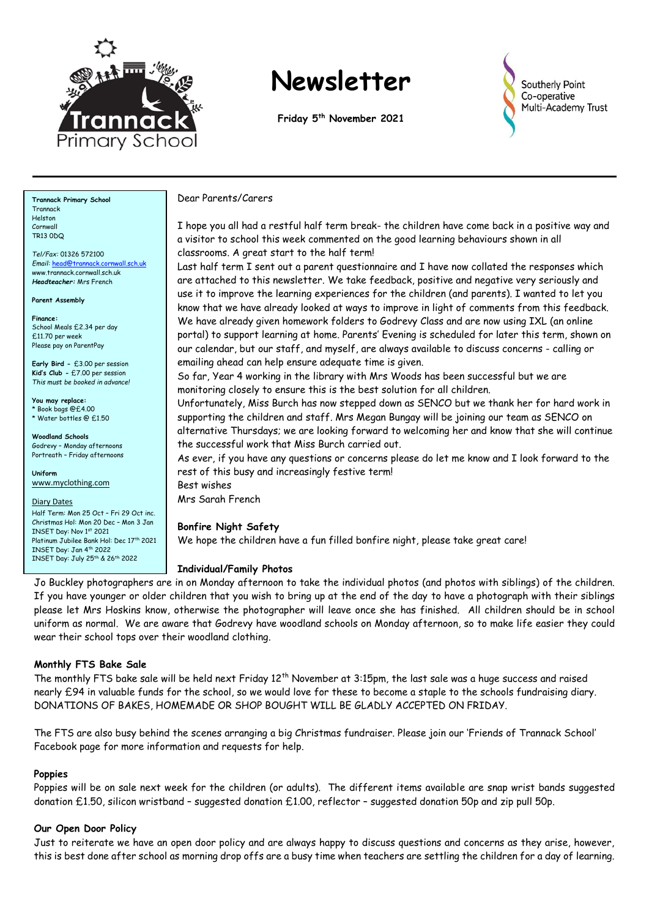

# **Newsletter**

**Friday 5 th November 2021**



**Trannack Primary School** Trannack Helston Cornwall TR13 0DQ

*Tel/Fax:* 01326 572100 *Email:* [head@trannack.cornwall.sch.uk](mailto:head@trannack.cornwall.sch.uk) www.trannack.cornwall.sch.uk *Headteacher:* Mrs French

**Parent Assembly**

**Finance:** School Meals £2.34 per day £11.70 per week Please pay on ParentPay

**Early Bird -** £3.00 per session **Kid's Club -** £7.00 per session *This must be booked in advance!*

**You may replace:** \* Book bags @£4.00 \* Water bottles @ £1.50

**Woodland Schools** Godrevy – Monday afternoons Portreath – Friday afternoons

**Uniform** [www.myclothing.com](http://www.myclothing.com/)

Diary Dates Half Term: Mon 25 Oct – Fri 29 Oct inc. Christmas Hol: Mon 20 Dec – Mon 3 Jan INSET Day: Nov 1st 2021 Platinum Jubilee Bank Hol: Dec 17th 2021 INSET Day: Jan 4th 2022 INSET Day: July 25th & 26th 2022

#### Dear Parents/Carers

I hope you all had a restful half term break- the children have come back in a positive way and a visitor to school this week commented on the good learning behaviours shown in all classrooms. A great start to the half term!

Last half term I sent out a parent questionnaire and I have now collated the responses which are attached to this newsletter. We take feedback, positive and negative very seriously and use it to improve the learning experiences for the children (and parents). I wanted to let you know that we have already looked at ways to improve in light of comments from this feedback. We have already given homework folders to Godrevy Class and are now using IXL (an online portal) to support learning at home. Parents' Evening is scheduled for later this term, shown on our calendar, but our staff, and myself, are always available to discuss concerns - calling or emailing ahead can help ensure adequate time is given.

So far, Year 4 working in the library with Mrs Woods has been successful but we are monitoring closely to ensure this is the best solution for all children.

Unfortunately, Miss Burch has now stepped down as SENCO but we thank her for hard work in supporting the children and staff. Mrs Megan Bungay will be joining our team as SENCO on alternative Thursdays; we are looking forward to welcoming her and know that she will continue the successful work that Miss Burch carried out.

As ever, if you have any questions or concerns please do let me know and I look forward to the rest of this busy and increasingly festive term!

Best wishes Mrs Sarah French

#### **Bonfire Night Safety**

We hope the children have a fun filled bonfire night, please take great care!

#### **Individual/Family Photos**

Jo Buckley photographers are in on Monday afternoon to take the individual photos (and photos with siblings) of the children. If you have younger or older children that you wish to bring up at the end of the day to have a photograph with their siblings please let Mrs Hoskins know, otherwise the photographer will leave once she has finished. All children should be in school uniform as normal. We are aware that Godrevy have woodland schools on Monday afternoon, so to make life easier they could wear their school tops over their woodland clothing.

#### **Monthly FTS Bake Sale**

The monthly FTS bake sale will be held next Friday 12<sup>th</sup> November at 3:15pm, the last sale was a huge success and raised nearly £94 in valuable funds for the school, so we would love for these to become a staple to the schools fundraising diary. DONATIONS OF BAKES, HOMEMADE OR SHOP BOUGHT WILL BE GLADLY ACCEPTED ON FRIDAY.

The FTS are also busy behind the scenes arranging a big Christmas fundraiser. Please join our 'Friends of Trannack School' Facebook page for more information and requests for help.

#### **Poppies**

Poppies will be on sale next week for the children (or adults). The different items available are snap wrist bands suggested donation £1.50, silicon wristband – suggested donation £1.00, reflector – suggested donation 50p and zip pull 50p.

#### **Our Open Door Policy**

Just to reiterate we have an open door policy and are always happy to discuss questions and concerns as they arise, however, this is best done after school as morning drop offs are a busy time when teachers are settling the children for a day of learning.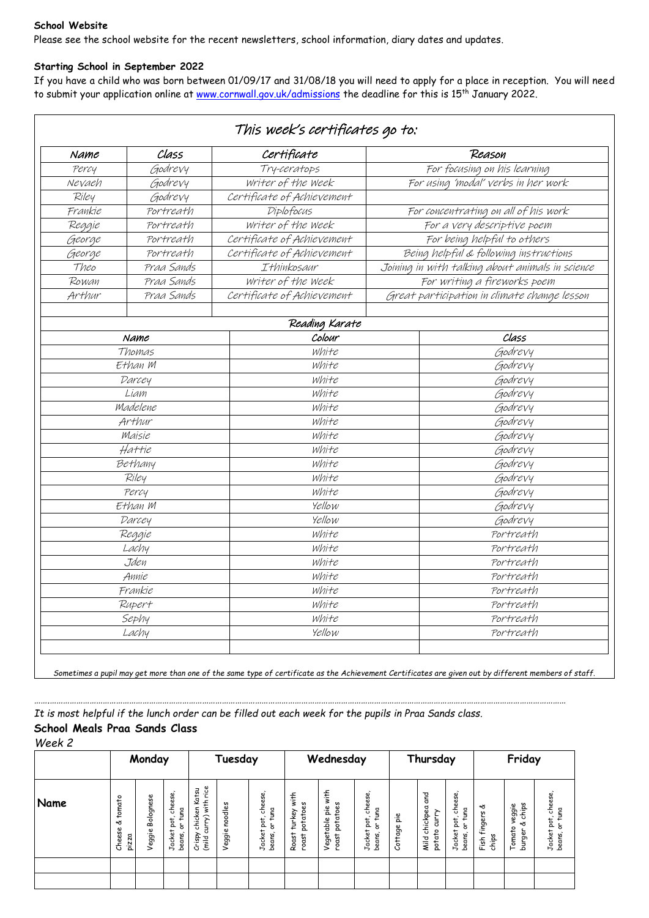#### **School Website**

Please see the school website for the recent newsletters, school information, diary dates and updates.

#### **Starting School in September 2022**

If you have a child who was born between 01/09/17 and 31/08/18 you will need to apply for a place in reception. You will need to submit your application online at [www.cornwall.gov.uk/admissions](http://www.cornwall.gov.uk/admissions) the deadline for this is 15<sup>th</sup> January 2022.

| Class<br>Name |            | Certificate                | Reason                                           |  |  |  |  |
|---------------|------------|----------------------------|--------------------------------------------------|--|--|--|--|
| Percy         | Godrevy    | Try-ceratops               | For focusing on his learning                     |  |  |  |  |
| Nevaeh        | Godrevy    | Writer of the Week         | For using 'modal' verbs in her work              |  |  |  |  |
| Riley         | Godrevy    | Certificate of Achievement |                                                  |  |  |  |  |
| Frankie       | Portreath  | Diplofocus                 | For concentrating on all of his work             |  |  |  |  |
| Reggie        | Portreath  | writer of the week         | For a very descriptive poem                      |  |  |  |  |
| George        | Portreath  | Certificate of Achievement | For being helpful to others                      |  |  |  |  |
| George        | Portreath  | Certificate of Achievement | Being helpful & following instructions           |  |  |  |  |
| Theo          | Praa Sands | Ithinkosaur                | Joining in with talking about animals in science |  |  |  |  |
| Rowan         | Praa Sands | writer of the week         | For writing a fireworks poem                     |  |  |  |  |
| Arthur        | Praa Sands | Certificate of Achievement | Great participation in climate change lesson     |  |  |  |  |
|               |            | Reading Karate             |                                                  |  |  |  |  |
|               | Name       | Colour                     | Class                                            |  |  |  |  |
|               | Thomas     | white                      | Godrevy                                          |  |  |  |  |
|               | Ethan M    | white                      | Godrevy                                          |  |  |  |  |
|               | Darcey     | white                      | Godrevy                                          |  |  |  |  |
|               | Liam       | white                      | Godrevy                                          |  |  |  |  |
|               | Madelene   | white                      | Godrevy                                          |  |  |  |  |
|               | Arthur     | white                      | Godrevy                                          |  |  |  |  |
|               | Maisie     | white                      | Godrevy                                          |  |  |  |  |
|               | Hattie     | white                      | Godrevy                                          |  |  |  |  |
|               | Bethany    | white                      | Godrevy                                          |  |  |  |  |
|               | Riley      | white                      | Godrevy                                          |  |  |  |  |
|               | Percy      | white                      | Godrevy                                          |  |  |  |  |
|               | Ethan M    | Yellow                     | Godrevy                                          |  |  |  |  |
|               | Darcey     | Yellow                     | Godrevy                                          |  |  |  |  |
|               | Reggie     | white                      | Portreath                                        |  |  |  |  |
|               | Lachy      | white                      | Portreath                                        |  |  |  |  |
|               | Jden       | white                      | Portreath                                        |  |  |  |  |
|               | Annie      | white                      | Portreath                                        |  |  |  |  |
|               | Frankie    | white                      | Portreath                                        |  |  |  |  |
|               | Rupert     | white                      | Portreath                                        |  |  |  |  |
|               | Sephy      | white                      | Portreath                                        |  |  |  |  |
|               | Lachy      | Yellow                     | Portreath                                        |  |  |  |  |

*Sometimes a pupil may get more than one of the same type of certificate as the Achievement Certificates are given out by different members of staff.*

*…….………………………………………………………………………………………………………………………………………………………………………………………………………………*

*It is most helpful if the lunch order can be filled out each week for the pupils in Praa Sands class.*

## **School Meals Praa Sands Class**

*Week 2*

|      | Monday                               |                     | Tuesday                                          |                                                           | Wednesday         |                                                                             | Thursday                                          |                                                    |                                                                       | Friday      |                                         |                                                                           |                                 |                                            |                                                             |
|------|--------------------------------------|---------------------|--------------------------------------------------|-----------------------------------------------------------|-------------------|-----------------------------------------------------------------------------|---------------------------------------------------|----------------------------------------------------|-----------------------------------------------------------------------|-------------|-----------------------------------------|---------------------------------------------------------------------------|---------------------------------|--------------------------------------------|-------------------------------------------------------------|
| Name | tomato<br>৺ত<br>Se<br>pizza<br>Chee. | Bolognese<br>Veggie | cheese,<br>tuna<br>pot,<br>á<br>Jacket<br>beans, | rice<br>Katsu<br>urry) with<br>chicken<br>Crispy<br>(mild | noodles<br>Veggie | cheese<br>tuna<br>$\overline{\phantom{a}}$<br>pot.<br>능<br>Jacket<br>beans, | with<br>S<br>potatoes<br>turkey<br>Roast<br>roast | with<br>w<br>Vegetable pie<br>ပ္လ<br>pota<br>roast | cheese<br>tuna<br>$\sim$<br>pot<br>ā<br>Jacket<br>$\ddot{}$<br>beans, | Cottage pie | chickpea and<br>curry<br>potato<br>Mild | cheese,<br>tuna<br>$\tilde{\phantom{a}}$<br>pot.<br>5<br>Jacket<br>beans, | প্ত<br>fingers<br>chips<br>Fish | chips<br>veggie<br>প্ত<br>Tomato<br>burger | pot, cheese<br>tuna<br>$\overline{5}$<br>Jacket<br>beans, c |
|      |                                      |                     |                                                  |                                                           |                   |                                                                             |                                                   |                                                    |                                                                       |             |                                         |                                                                           |                                 |                                            |                                                             |
|      |                                      |                     |                                                  |                                                           |                   |                                                                             |                                                   |                                                    |                                                                       |             |                                         |                                                                           |                                 |                                            |                                                             |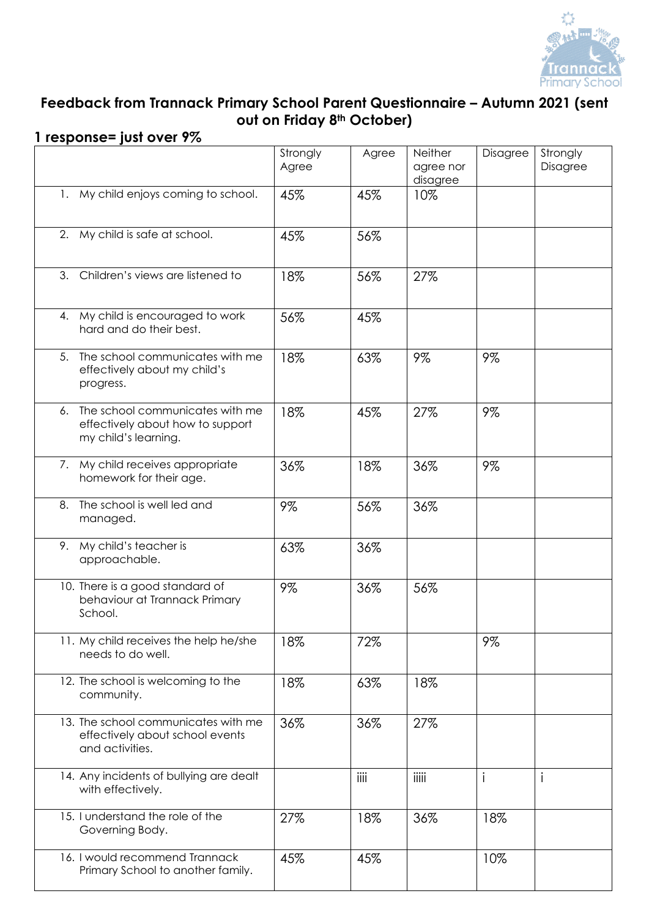

# **Feedback from Trannack Primary School Parent Questionnaire – Autumn 2021 (sent out on Friday 8th October)**

### **1 response= just over 9%**

|    |                                                                                             | Strongly<br>Agree | Agree | Neither<br>agree nor<br>disagree | Disagree | Strongly<br><b>Disagree</b> |
|----|---------------------------------------------------------------------------------------------|-------------------|-------|----------------------------------|----------|-----------------------------|
|    | 1. My child enjoys coming to school.                                                        | 45%               | 45%   | 10%                              |          |                             |
|    | 2. My child is safe at school.                                                              | 45%               | 56%   |                                  |          |                             |
| 3. | Children's views are listened to                                                            | 18%               | 56%   | 27%                              |          |                             |
|    | 4. My child is encouraged to work<br>hard and do their best.                                | 56%               | 45%   |                                  |          |                             |
| 5. | The school communicates with me<br>effectively about my child's<br>progress.                | 18%               | 63%   | 9%                               | 9%       |                             |
| 6. | The school communicates with me<br>effectively about how to support<br>my child's learning. | 18%               | 45%   | 27%                              | 9%       |                             |
|    | 7. My child receives appropriate<br>homework for their age.                                 | 36%               | 18%   | 36%                              | 9%       |                             |
| 8. | The school is well led and<br>managed.                                                      | 9%                | 56%   | 36%                              |          |                             |
|    | 9. My child's teacher is<br>approachable.                                                   | 63%               | 36%   |                                  |          |                             |
|    | 10. There is a good standard of<br>behaviour at Trannack Primary<br>School.                 | 9%                | 36%   | 56%                              |          |                             |
|    | 11. My child receives the help he/she<br>needs to do well.                                  | 18%               | 72%   |                                  | 9%       |                             |
|    | 12. The school is welcoming to the<br>community.                                            | 18%               | 63%   | 18%                              |          |                             |
|    | 13. The school communicates with me<br>effectively about school events<br>and activities.   | 36%               | 36%   | 27%                              |          |                             |
|    | 14. Any incidents of bullying are dealt<br>with effectively.                                |                   | iiii  | iiiii                            | i        | $\mathbf{i}$                |
|    | 15. I understand the role of the<br>Governing Body.                                         | 27%               | 18%   | 36%                              | 18%      |                             |
|    | 16. I would recommend Trannack<br>Primary School to another family.                         | 45%               | 45%   |                                  | 10%      |                             |